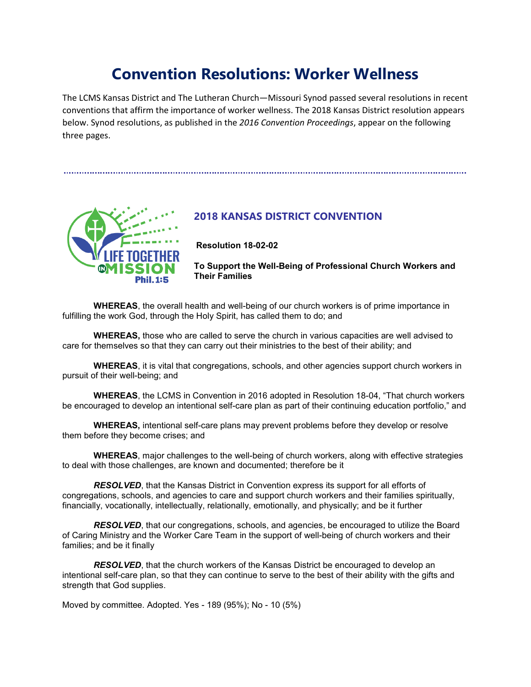# **Convention Resolutions: Worker Wellness**

The LCMS Kansas District and The Lutheran Church—Missouri Synod passed several resolutions in recent conventions that affirm the importance of worker wellness. The 2018 Kansas District resolution appears below. Synod resolutions, as published in the *2016 Convention Proceedings*, appear on the following three pages.



### **2018 KANSAS DISTRICT CONVENTION**

**Resolution 18-02-02**

**To Support the Well-Being of Professional Church Workers and Their Families** 

**WHEREAS**, the overall health and well-being of our church workers is of prime importance in fulfilling the work God, through the Holy Spirit, has called them to do; and

**WHEREAS,** those who are called to serve the church in various capacities are well advised to care for themselves so that they can carry out their ministries to the best of their ability; and

**WHEREAS**, it is vital that congregations, schools, and other agencies support church workers in pursuit of their well-being; and

**WHEREAS**, the LCMS in Convention in 2016 adopted in Resolution 18-04, "That church workers be encouraged to develop an intentional self-care plan as part of their continuing education portfolio," and

**WHEREAS,** intentional self-care plans may prevent problems before they develop or resolve them before they become crises; and

**WHEREAS**, major challenges to the well-being of church workers, along with effective strategies to deal with those challenges, are known and documented; therefore be it

*RESOLVED*, that the Kansas District in Convention express its support for all efforts of congregations, schools, and agencies to care and support church workers and their families spiritually, financially, vocationally, intellectually, relationally, emotionally, and physically; and be it further

**RESOLVED**, that our congregations, schools, and agencies, be encouraged to utilize the Board of Caring Ministry and the Worker Care Team in the support of well-being of church workers and their families; and be it finally

*RESOLVED*, that the church workers of the Kansas District be encouraged to develop an intentional self-care plan, so that they can continue to serve to the best of their ability with the gifts and strength that God supplies.

Moved by committee. Adopted. Yes - 189 (95%); No - 10 (5%)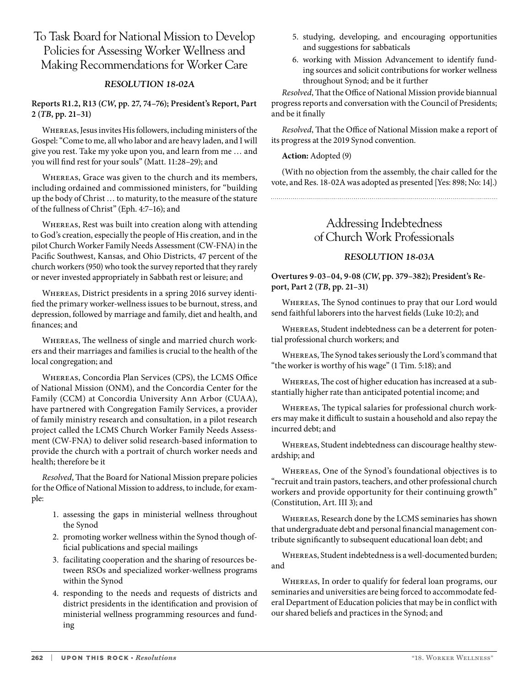# To Task Board for National Mission to Develop Policies for Assessing Worker Wellness and Making Recommendations for Worker Care

### *RESOLUTION 18-02A*

#### **Reports R1.2, R13 (***CW***, pp. 27, 74–76); President's Report, Part 2 (***TB***, pp. 21–31)**

Whereas, Jesus invites His followers, including ministers of the Gospel: "Come to me, all who labor and are heavy laden, and I will give you rest. Take my yoke upon you, and learn from me … and you will find rest for your souls" (Matt. 11:28–29); and

Whereas, Grace was given to the church and its members, including ordained and commissioned ministers, for "building up the body of Christ … to maturity, to the measure of the stature of the fullness of Christ" (Eph. 4:7–16); and

Whereas, Rest was built into creation along with attending to God's creation, especially the people of His creation, and in the pilot Church Worker Family Needs Assessment (CW-FNA) in the Pacific Southwest, Kansas, and Ohio Districts, 47 percent of the church workers (950) who took the survey reported that they rarely or never invested appropriately in Sabbath rest or leisure; and

Whereas, District presidents in a spring 2016 survey identified the primary worker-wellness issues to be burnout, stress, and depression, followed by marriage and family, diet and health, and finances; and

Whereas, The wellness of single and married church workers and their marriages and families is crucial to the health of the local congregation; and

Whereas, Concordia Plan Services (CPS), the LCMS Office of National Mission (ONM), and the Concordia Center for the Family (CCM) at Concordia University Ann Arbor (CUAA), have partnered with Congregation Family Services, a provider of family ministry research and consultation, in a pilot research project called the LCMS Church Worker Family Needs Assessment (CW-FNA) to deliver solid research-based information to provide the church with a portrait of church worker needs and health; therefore be it

*Resolved*, That the Board for National Mission prepare policies for the Office of National Mission to address, to include, for example:

- 1. assessing the gaps in ministerial wellness throughout the Synod
- 2. promoting worker wellness within the Synod though official publications and special mailings
- 3. facilitating cooperation and the sharing of resources between RSOs and specialized worker-wellness programs within the Synod
- 4. responding to the needs and requests of districts and district presidents in the identification and provision of ministerial wellness programming resources and funding
- 5. studying, developing, and encouraging opportunities and suggestions for sabbaticals
- 6. working with Mission Advancement to identify funding sources and solicit contributions for worker wellness throughout Synod; and be it further

*Resolved*, That the Office of National Mission provide biannual progress reports and conversation with the Council of Presidents; and be it finally

*Resolved*, That the Office of National Mission make a report of its progress at the 2019 Synod convention.

#### **Action:** Adopted (9)

(With no objection from the assembly, the chair called for the vote, and Res. 18-02A was adopted as presented [Yes: 898; No: 14].)

### Addressing Indebtedness of Church Work Professionals

### *RESOLUTION 18-03A*

**Overtures 9-03–04, 9-08 (***CW***, pp. 379–382); President's Report, Part 2 (***TB***, pp. 21–31)** 

Whereas, The Synod continues to pray that our Lord would send faithful laborers into the harvest fields (Luke 10:2); and

Whereas, Student indebtedness can be a deterrent for potential professional church workers; and

Whereas, The Synod takes seriously the Lord's command that "the worker is worthy of his wage" (1 Tim. 5:18); and

Whereas, The cost of higher education has increased at a substantially higher rate than anticipated potential income; and

Whereas, The typical salaries for professional church workers may make it difficult to sustain a household and also repay the incurred debt; and

Whereas, Student indebtedness can discourage healthy stewardship; and

Whereas, One of the Synod's foundational objectives is to "recruit and train pastors, teachers, and other professional church workers and provide opportunity for their continuing growth" (Constitution, Art. III 3); and

Whereas, Research done by the LCMS seminaries has shown that undergraduate debt and personal financial management contribute significantly to subsequent educational loan debt; and

Whereas, Student indebtedness is a well-documented burden; and

Whereas, In order to qualify for federal loan programs, our seminaries and universities are being forced to accommodate federal Department of Education policies that may be in conflict with our shared beliefs and practices in the Synod; and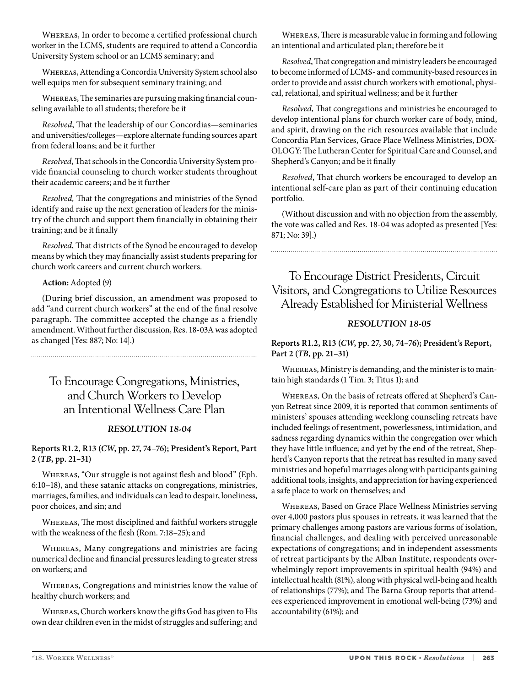Whereas, In order to become a certified professional church worker in the LCMS, students are required to attend a Concordia University System school or an LCMS seminary; and

Whereas, Attending a Concordia University System school also well equips men for subsequent seminary training; and

Whereas, The seminaries are pursuing making financial counseling available to all students; therefore be it

*Resolved*, That the leadership of our Concordias—seminaries and universities/colleges—explore alternate funding sources apart from federal loans; and be it further

*Resolved*, That schools in the Concordia University System provide financial counseling to church worker students throughout their academic careers; and be it further

*Resolved,* That the congregations and ministries of the Synod identify and raise up the next generation of leaders for the ministry of the church and support them financially in obtaining their training; and be it finally

*Resolved*, That districts of the Synod be encouraged to develop means by which they may financially assist students preparing for church work careers and current church workers.

#### **Action:** Adopted (9)

(During brief discussion, an amendment was proposed to add "and current church workers" at the end of the final resolve paragraph. The committee accepted the change as a friendly amendment. Without further discussion, Res. 18-03A was adopted as changed [Yes: 887; No: 14].)

# To Encourage Congregations, Ministries, and Church Workers to Develop an Intentional Wellness Care Plan

#### *RESOLUTION 18-04*

#### **Reports R1.2, R13 (***CW***, pp. 27, 74–76); President's Report, Part 2 (***TB***, pp. 21–31)**

Whereas, "Our struggle is not against flesh and blood" (Eph. 6:10–18), and these satanic attacks on congregations, ministries, marriages, families, and individuals can lead to despair, loneliness, poor choices, and sin; and

Whereas, The most disciplined and faithful workers struggle with the weakness of the flesh (Rom. 7:18–25); and

Whereas, Many congregations and ministries are facing numerical decline and financial pressures leading to greater stress on workers; and

Whereas, Congregations and ministries know the value of healthy church workers; and

Whereas, Church workers know the gifts God has given to His own dear children even in the midst of struggles and suffering; and

Whereas, There is measurable value in forming and following an intentional and articulated plan; therefore be it

*Resolved*, That congregation and ministry leaders be encouraged to become informed of LCMS- and community-based resources in order to provide and assist church workers with emotional, physical, relational, and spiritual wellness; and be it further

*Resolved*, That congregations and ministries be encouraged to develop intentional plans for church worker care of body, mind, and spirit, drawing on the rich resources available that include Concordia Plan Services, Grace Place Wellness Ministries, DOX-OLOGY: The Lutheran Center for Spiritual Care and Counsel, and Shepherd's Canyon; and be it finally

*Resolved*, That church workers be encouraged to develop an intentional self-care plan as part of their continuing education portfolio.

(Without discussion and with no objection from the assembly, the vote was called and Res. 18-04 was adopted as presented [Yes: 871; No: 39].)

To Encourage District Presidents, Circuit Visitors, and Congregations to Utilize Resources Already Established for Ministerial Wellness

#### *RESOLUTION 18-05*

**Reports R1.2, R13 (***CW***, pp. 27, 30, 74–76); President's Report, Part 2 (***TB***, pp. 21–31)**

Whereas, Ministry is demanding, and the minister is to maintain high standards (1 Tim. 3; Titus 1); and

Whereas, On the basis of retreats offered at Shepherd's Canyon Retreat since 2009, it is reported that common sentiments of ministers' spouses attending weeklong counseling retreats have included feelings of resentment, powerlessness, intimidation, and sadness regarding dynamics within the congregation over which they have little influence; and yet by the end of the retreat, Shepherd's Canyon reports that the retreat has resulted in many saved ministries and hopeful marriages along with participants gaining additional tools, insights, and appreciation for having experienced a safe place to work on themselves; and

Whereas, Based on Grace Place Wellness Ministries serving over 4,000 pastors plus spouses in retreats, it was learned that the primary challenges among pastors are various forms of isolation, financial challenges, and dealing with perceived unreasonable expectations of congregations; and in independent assessments of retreat participants by the Alban Institute, respondents overwhelmingly report improvements in spiritual health (94%) and intellectual health (81%), along with physical well-being and health of relationships (77%); and The Barna Group reports that attendees experienced improvement in emotional well-being (73%) and accountability (61%); and